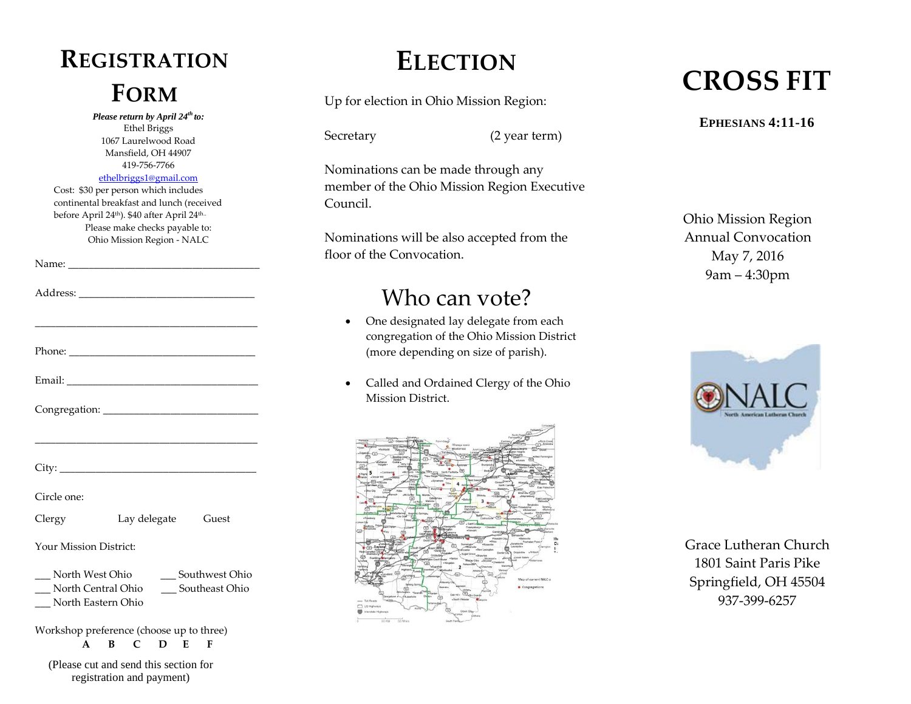# **REGISTRATION**

*Please return by April 24th to:* Ethel Briggs 1067 Laurelwood Road Mansfield, OH 44907 419-756-7766 [ethelbriggs1@gmail.com](mailto:ethelbriggs1@gmail.com)

Cost: \$30 per person which includes continental breakfast and lunch (received before April 24<sup>th</sup>). \$40 after April 24<sup>th..</sup> Please make checks payable to: Ohio Mission Region - NALC

Name: \_\_\_\_\_\_\_\_\_\_\_\_\_\_\_\_\_\_\_\_\_\_\_\_\_\_\_\_\_\_\_\_\_\_\_\_\_

|                        | the control of the control of the control of the control of the control of the control of |  |
|------------------------|-------------------------------------------------------------------------------------------|--|
|                        |                                                                                           |  |
| Circle one:            |                                                                                           |  |
| Clergy                 | Lay delegate Guest                                                                        |  |
| Your Mission District: |                                                                                           |  |
| __ North Eastern Ohio  | North West Ohio ______ Southwest Ohio<br>__ North Central Ohio ___ Southeast Ohio         |  |
|                        | $M_{\text{e}}$ disk are reaffective as (also ago are to though)                           |  |

Workshop preference (choose up to three) **A B C D E F**

(Please cut and send this section for registration and payment)

### **ELECTION**

Secretary (2 year term)

Nominations can be made through any member of the Ohio Mission Region Executive Council.

Nominations will be also accepted from the floor of the Convocation.

#### Who can vote?

- One designated lay delegate from each congregation of the Ohio Mission District (more depending on size of parish).
- Called and Ordained Clergy of the Ohio Mission District.



## **FORM** Up for election in Ohio Mission Region: **CROSS FIT**

#### **EPHESIANS 4:11-16**

Ohio Mission Region Annual Convocation May 7, 2016 9am – 4:30pm



Grace Lutheran Church 1801 Saint Paris Pike Springfield, OH 45504 937-399-6257